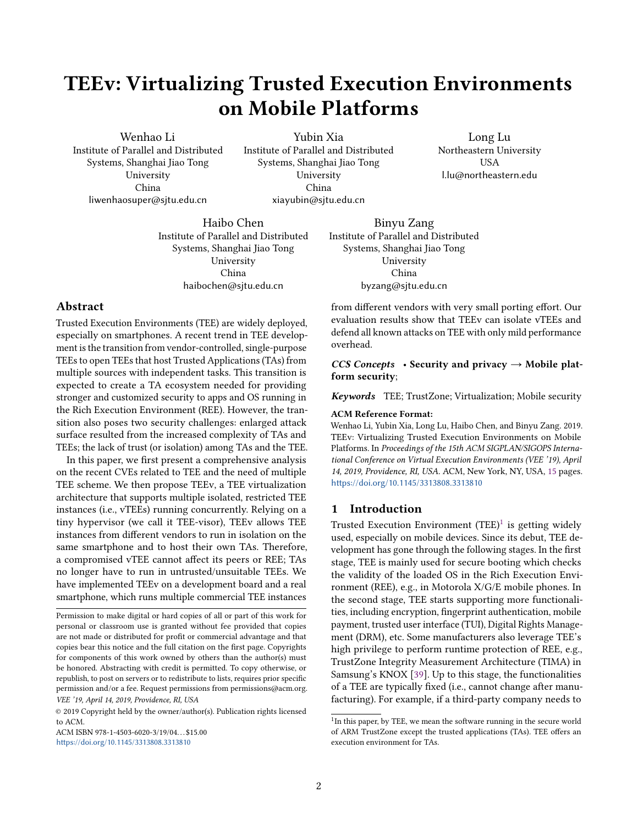# TEEv: Virtualizing Trusted Execution Environments on Mobile Platforms

Wenhao Li Institute of Parallel and Distributed Systems, Shanghai Jiao Tong University China liwenhaosuper@sjtu.edu.cn

Yubin Xia Institute of Parallel and Distributed Systems, Shanghai Jiao Tong University China xiayubin@sjtu.edu.cn

Long Lu Northeastern University **USA** l.lu@northeastern.edu

Haibo Chen Institute of Parallel and Distributed Systems, Shanghai Jiao Tong University China haibochen@sjtu.edu.cn

## Abstract

Trusted Execution Environments (TEE) are widely deployed, especially on smartphones. A recent trend in TEE development is the transition from vendor-controlled, single-purpose TEEs to open TEEs that host Trusted Applications (TAs) from multiple sources with independent tasks. This transition is expected to create a TA ecosystem needed for providing stronger and customized security to apps and OS running in the Rich Execution Environment (REE). However, the transition also poses two security challenges: enlarged attack surface resulted from the increased complexity of TAs and TEEs; the lack of trust (or isolation) among TAs and the TEE.

In this paper, we first present a comprehensive analysis on the recent CVEs related to TEE and the need of multiple TEE scheme. We then propose TEEv, a TEE virtualization architecture that supports multiple isolated, restricted TEE instances (i.e., vTEEs) running concurrently. Relying on a tiny hypervisor (we call it TEE-visor), TEEv allows TEE instances from different vendors to run in isolation on the same smartphone and to host their own TAs. Therefore, a compromised vTEE cannot affect its peers or REE; TAs no longer have to run in untrusted/unsuitable TEEs. We have implemented TEEv on a development board and a real smartphone, which runs multiple commercial TEE instances

ACM ISBN 978-1-4503-6020-3/19/04. . . \$15.00 <https://doi.org/10.1145/3313808.3313810>

Binyu Zang Institute of Parallel and Distributed Systems, Shanghai Jiao Tong University China byzang@sjtu.edu.cn

from different vendors with very small porting effort. Our evaluation results show that TEEv can isolate vTEEs and defend all known attacks on TEE with only mild performance overhead.

CCS Concepts • Security and privacy  $\rightarrow$  Mobile platform security;

Keywords TEE; TrustZone; Virtualization; Mobile security

#### ACM Reference Format:

Wenhao Li, Yubin Xia, Long Lu, Haibo Chen, and Binyu Zang. 2019. TEEv: Virtualizing Trusted Execution Environments on Mobile Platforms. In Proceedings of the 15th ACM SIGPLAN/SIGOPS International Conference on Virtual Execution Environments (VEE '19), April 14, 2019, Providence, RI, USA. ACM, New York, NY, USA, [15](#page-14-0) pages. <https://doi.org/10.1145/3313808.3313810>

## 1 Introduction

Trusted Execution Environment (TEE)<sup>[1](#page-0-0)</sup> is getting widely used, especially on mobile devices. Since its debut, TEE development has gone through the following stages. In the first stage, TEE is mainly used for secure booting which checks the validity of the loaded OS in the Rich Execution Environment (REE), e.g., in Motorola X/G/E mobile phones. In the second stage, TEE starts supporting more functionalities, including encryption, fingerprint authentication, mobile payment, trusted user interface (TUI), Digital Rights Management (DRM), etc. Some manufacturers also leverage TEE's high privilege to perform runtime protection of REE, e.g., TrustZone Integrity Measurement Architecture (TIMA) in Samsung's KNOX [\[39\]](#page-13-0). Up to this stage, the functionalities of a TEE are typically fixed (i.e., cannot change after manufacturing). For example, if a third-party company needs to

Permission to make digital or hard copies of all or part of this work for personal or classroom use is granted without fee provided that copies are not made or distributed for profit or commercial advantage and that copies bear this notice and the full citation on the first page. Copyrights for components of this work owned by others than the author(s) must be honored. Abstracting with credit is permitted. To copy otherwise, or republish, to post on servers or to redistribute to lists, requires prior specific permission and/or a fee. Request permissions from permissions@acm.org. VEE '19, April 14, 2019, Providence, RI, USA

<sup>©</sup> 2019 Copyright held by the owner/author(s). Publication rights licensed to ACM.

<span id="page-0-0"></span><sup>&</sup>lt;sup>1</sup>In this paper, by TEE, we mean the software running in the secure world of ARM TrustZone except the trusted applications (TAs). TEE offers an execution environment for TAs.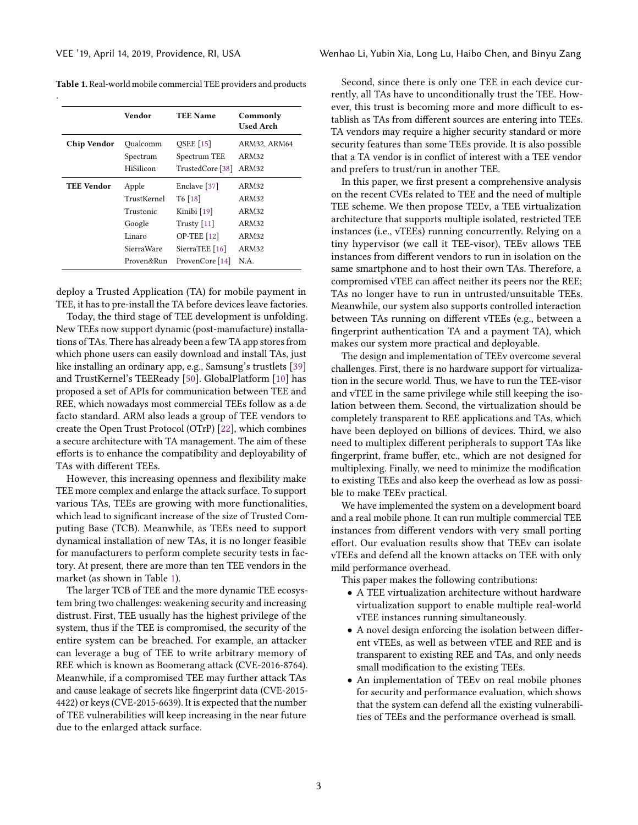.

|                            | Vendor      | <b>TEE Name</b>    | Commonly<br><b>Used Arch</b> |
|----------------------------|-------------|--------------------|------------------------------|
| Chip Vendor                | Oualcomm    | <b>OSEE</b> [15]   | ARM32, ARM64                 |
|                            | Spectrum    | Spectrum TEE       | ARM32                        |
|                            | HiSilicon   | TrustedCore [38]   | ARM32                        |
| <b>TEE Vendor</b><br>Apple |             | Enclave [37]       | ARM32                        |
|                            | TrustKernel | $T6$ [18]          | ARM32                        |
|                            | Trustonic   | Kinibi [19]        | ARM32                        |
|                            | Google      | Trusty $[11]$      | ARM32                        |
|                            | Linaro      | <b>OP-TEE</b> [12] | ARM32                        |
|                            | SierraWare  | SierraTEE $[16]$   | ARM32                        |
|                            | Proven&Run  | ProvenCore [14]    | N.A.                         |

<span id="page-1-0"></span>Table 1. Real-world mobile commercial TEE providers and products

deploy a Trusted Application (TA) for mobile payment in TEE, it has to pre-install the TA before devices leave factories.

Today, the third stage of TEE development is unfolding. New TEEs now support dynamic (post-manufacture) installations of TAs. There has already been a few TA app stores from which phone users can easily download and install TAs, just like installing an ordinary app, e.g., Samsung's trustlets [\[39\]](#page-13-0) and TrustKernel's TEEReady [\[50\]](#page-14-1). GlobalPlatform [\[10\]](#page-13-10) has proposed a set of APIs for communication between TEE and REE, which nowadays most commercial TEEs follow as a de facto standard. ARM also leads a group of TEE vendors to create the Open Trust Protocol (OTrP) [\[22\]](#page-13-11), which combines a secure architecture with TA management. The aim of these efforts is to enhance the compatibility and deployability of TAs with different TEEs.

However, this increasing openness and flexibility make TEE more complex and enlarge the attack surface. To support various TAs, TEEs are growing with more functionalities, which lead to significant increase of the size of Trusted Computing Base (TCB). Meanwhile, as TEEs need to support dynamical installation of new TAs, it is no longer feasible for manufacturers to perform complete security tests in factory. At present, there are more than ten TEE vendors in the market (as shown in Table [1\)](#page-1-0).

The larger TCB of TEE and the more dynamic TEE ecosystem bring two challenges: weakening security and increasing distrust. First, TEE usually has the highest privilege of the system, thus if the TEE is compromised, the security of the entire system can be breached. For example, an attacker can leverage a bug of TEE to write arbitrary memory of REE which is known as Boomerang attack (CVE-2016-8764). Meanwhile, if a compromised TEE may further attack TAs and cause leakage of secrets like fingerprint data (CVE-2015- 4422) or keys (CVE-2015-6639). It is expected that the number of TEE vulnerabilities will keep increasing in the near future due to the enlarged attack surface.

Second, since there is only one TEE in each device currently, all TAs have to unconditionally trust the TEE. However, this trust is becoming more and more difficult to establish as TAs from different sources are entering into TEEs. TA vendors may require a higher security standard or more security features than some TEEs provide. It is also possible that a TA vendor is in conflict of interest with a TEE vendor and prefers to trust/run in another TEE.

In this paper, we first present a comprehensive analysis on the recent CVEs related to TEE and the need of multiple TEE scheme. We then propose TEEv, a TEE virtualization architecture that supports multiple isolated, restricted TEE instances (i.e., vTEEs) running concurrently. Relying on a tiny hypervisor (we call it TEE-visor), TEEv allows TEE instances from different vendors to run in isolation on the same smartphone and to host their own TAs. Therefore, a compromised vTEE can affect neither its peers nor the REE; TAs no longer have to run in untrusted/unsuitable TEEs. Meanwhile, our system also supports controlled interaction between TAs running on different vTEEs (e.g., between a fingerprint authentication TA and a payment TA), which makes our system more practical and deployable.

The design and implementation of TEEv overcome several challenges. First, there is no hardware support for virtualization in the secure world. Thus, we have to run the TEE-visor and vTEE in the same privilege while still keeping the isolation between them. Second, the virtualization should be completely transparent to REE applications and TAs, which have been deployed on billions of devices. Third, we also need to multiplex different peripherals to support TAs like fingerprint, frame buffer, etc., which are not designed for multiplexing. Finally, we need to minimize the modification to existing TEEs and also keep the overhead as low as possible to make TEEv practical.

We have implemented the system on a development board and a real mobile phone. It can run multiple commercial TEE instances from different vendors with very small porting effort. Our evaluation results show that TEEv can isolate vTEEs and defend all the known attacks on TEE with only mild performance overhead.

This paper makes the following contributions:

- A TEE virtualization architecture without hardware virtualization support to enable multiple real-world vTEE instances running simultaneously.
- A novel design enforcing the isolation between different vTEEs, as well as between vTEE and REE and is transparent to existing REE and TAs, and only needs small modification to the existing TEEs.
- An implementation of TEEv on real mobile phones for security and performance evaluation, which shows that the system can defend all the existing vulnerabilities of TEEs and the performance overhead is small.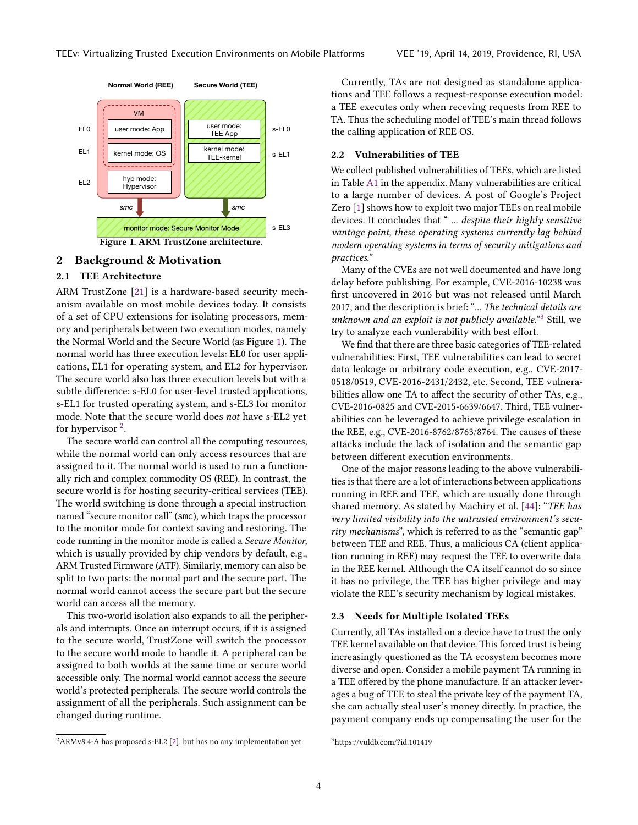<span id="page-2-0"></span>

# 2 Background & Motivation

# 2.1 TEE Architecture

ARM TrustZone [\[21\]](#page-13-12) is a hardware-based security mechanism available on most mobile devices today. It consists of a set of CPU extensions for isolating processors, memory and peripherals between two execution modes, namely the Normal World and the Secure World (as Figure [1\)](#page-2-0). The normal world has three execution levels: EL0 for user applications, EL1 for operating system, and EL2 for hypervisor. The secure world also has three execution levels but with a subtle difference: s-EL0 for user-level trusted applications, s-EL1 for trusted operating system, and s-EL3 for monitor mode. Note that the secure world does not have s-EL2 yet for hypervisor  $2$ .

The secure world can control all the computing resources, while the normal world can only access resources that are assigned to it. The normal world is used to run a functionally rich and complex commodity OS (REE). In contrast, the secure world is for hosting security-critical services (TEE). The world switching is done through a special instruction named "secure monitor call" (smc), which traps the processor to the monitor mode for context saving and restoring. The code running in the monitor mode is called a Secure Monitor, which is usually provided by chip vendors by default, e.g., ARM Trusted Firmware (ATF). Similarly, memory can also be split to two parts: the normal part and the secure part. The normal world cannot access the secure part but the secure world can access all the memory.

This two-world isolation also expands to all the peripherals and interrupts. Once an interrupt occurs, if it is assigned to the secure world, TrustZone will switch the processor to the secure world mode to handle it. A peripheral can be assigned to both worlds at the same time or secure world accessible only. The normal world cannot access the secure world's protected peripherals. The secure world controls the assignment of all the peripherals. Such assignment can be changed during runtime.

<span id="page-2-1"></span> $2$ ARMv8.4-A has proposed s-EL2 [\[2\]](#page-13-13), but has no any implementation yet.

Currently, TAs are not designed as standalone applications and TEE follows a request-response execution model: a TEE executes only when receving requests from REE to TA. Thus the scheduling model of TEE's main thread follows the calling application of REE OS.

# 2.2 Vulnerabilities of TEE

We collect published vulnerabilities of TEEs, which are listed in Table [A1](#page-12-0) in the appendix. Many vulnerabilities are critical to a large number of devices. A post of Google's Project Zero [\[1\]](#page-13-14) shows how to exploit two major TEEs on real mobile devices. It concludes that " ... despite their highly sensitive vantage point, these operating systems currently lag behind modern operating systems in terms of security mitigations and practices."

Many of the CVEs are not well documented and have long delay before publishing. For example, CVE-2016-10238 was first uncovered in 2016 but was not released until March 2017, and the description is brief: "... The technical details are unknown and an exploit is not publicly available."<sup>[3](#page-2-2)</sup> Still, we try to analyze each vunlerability with best effort.

We find that there are three basic categories of TEE-related vulnerabilities: First, TEE vulnerabilities can lead to secret data leakage or arbitrary code execution, e.g., CVE-2017- 0518/0519, CVE-2016-2431/2432, etc. Second, TEE vulnerabilities allow one TA to affect the security of other TAs, e.g., CVE-2016-0825 and CVE-2015-6639/6647. Third, TEE vulnerabilities can be leveraged to achieve privilege escalation in the REE, e.g., CVE-2016-8762/8763/8764. The causes of these attacks include the lack of isolation and the semantic gap between different execution environments.

One of the major reasons leading to the above vulnerabilities is that there are a lot of interactions between applications running in REE and TEE, which are usually done through shared memory. As stated by Machiry et al. [\[44\]](#page-13-15): "TEE has very limited visibility into the untrusted environment's security mechanisms", which is referred to as the "semantic gap" between TEE and REE. Thus, a malicious CA (client application running in REE) may request the TEE to overwrite data in the REE kernel. Although the CA itself cannot do so since it has no privilege, the TEE has higher privilege and may violate the REE's security mechanism by logical mistakes.

#### 2.3 Needs for Multiple Isolated TEEs

Currently, all TAs installed on a device have to trust the only TEE kernel available on that device. This forced trust is being increasingly questioned as the TA ecosystem becomes more diverse and open. Consider a mobile payment TA running in a TEE offered by the phone manufacture. If an attacker leverages a bug of TEE to steal the private key of the payment TA, she can actually steal user's money directly. In practice, the payment company ends up compensating the user for the

<span id="page-2-2"></span><sup>3</sup>https://vuldb.com/?id.101419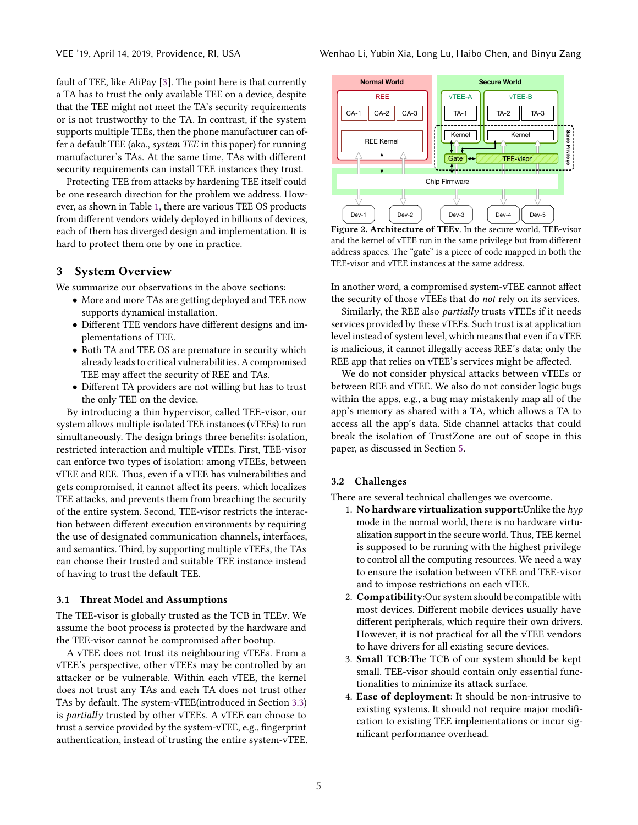fault of TEE, like AliPay [\[3\]](#page-13-16). The point here is that currently a TA has to trust the only available TEE on a device, despite that the TEE might not meet the TA's security requirements or is not trustworthy to the TA. In contrast, if the system supports multiple TEEs, then the phone manufacturer can offer a default TEE (aka., system TEE in this paper) for running manufacturer's TAs. At the same time, TAs with different security requirements can install TEE instances they trust.

Protecting TEE from attacks by hardening TEE itself could be one research direction for the problem we address. However, as shown in Table [1,](#page-1-0) there are various TEE OS products from different vendors widely deployed in billions of devices, each of them has diverged design and implementation. It is hard to protect them one by one in practice.

## 3 System Overview

We summarize our observations in the above sections:

- More and more TAs are getting deployed and TEE now supports dynamical installation.
- Different TEE vendors have different designs and implementations of TEE.
- Both TA and TEE OS are premature in security which already leads to critical vulnerabilities. A compromised TEE may affect the security of REE and TAs.
- Different TA providers are not willing but has to trust the only TEE on the device.

By introducing a thin hypervisor, called TEE-visor, our system allows multiple isolated TEE instances (vTEEs) to run simultaneously. The design brings three benefits: isolation, restricted interaction and multiple vTEEs. First, TEE-visor can enforce two types of isolation: among vTEEs, between vTEE and REE. Thus, even if a vTEE has vulnerabilities and gets compromised, it cannot affect its peers, which localizes TEE attacks, and prevents them from breaching the security of the entire system. Second, TEE-visor restricts the interaction between different execution environments by requiring the use of designated communication channels, interfaces, and semantics. Third, by supporting multiple vTEEs, the TAs can choose their trusted and suitable TEE instance instead of having to trust the default TEE.

#### 3.1 Threat Model and Assumptions

The TEE-visor is globally trusted as the TCB in TEEv. We assume the boot process is protected by the hardware and the TEE-visor cannot be compromised after bootup.

A vTEE does not trust its neighbouring vTEEs. From a vTEE's perspective, other vTEEs may be controlled by an attacker or be vulnerable. Within each vTEE, the kernel does not trust any TAs and each TA does not trust other TAs by default. The system-vTEE(introduced in Section [3.3\)](#page-4-0) is partially trusted by other vTEEs. A vTEE can choose to trust a service provided by the system-vTEE, e.g., fingerprint authentication, instead of trusting the entire system-vTEE.

<span id="page-3-0"></span>

Figure 2. Architecture of TEEv. In the secure world, TEE-visor and the kernel of vTEE run in the same privilege but from different address spaces. The "gate" is a piece of code mapped in both the TEE-visor and vTEE instances at the same address.

In another word, a compromised system-vTEE cannot affect the security of those vTEEs that do not rely on its services.

Similarly, the REE also partially trusts vTEEs if it needs services provided by these vTEEs. Such trust is at application level instead of system level, which means that even if a vTEE is malicious, it cannot illegally access REE's data; only the REE app that relies on vTEE's services might be affected.

We do not consider physical attacks between vTEEs or between REE and vTEE. We also do not consider logic bugs within the apps, e.g., a bug may mistakenly map all of the app's memory as shared with a TA, which allows a TA to access all the app's data. Side channel attacks that could break the isolation of TrustZone are out of scope in this paper, as discussed in Section [5.](#page-7-0)

## 3.2 Challenges

There are several technical challenges we overcome.

- 1. No hardware virtualization support: Unlike the  $hyp$ mode in the normal world, there is no hardware virtualization support in the secure world. Thus, TEE kernel is supposed to be running with the highest privilege to control all the computing resources. We need a way to ensure the isolation between vTEE and TEE-visor and to impose restrictions on each vTEE.
- 2. Compatibility:Our system should be compatible with most devices. Different mobile devices usually have different peripherals, which require their own drivers. However, it is not practical for all the vTEE vendors to have drivers for all existing secure devices.
- 3. Small TCB:The TCB of our system should be kept small. TEE-visor should contain only essential functionalities to minimize its attack surface.
- 4. Ease of deployment: It should be non-intrusive to existing systems. It should not require major modification to existing TEE implementations or incur significant performance overhead.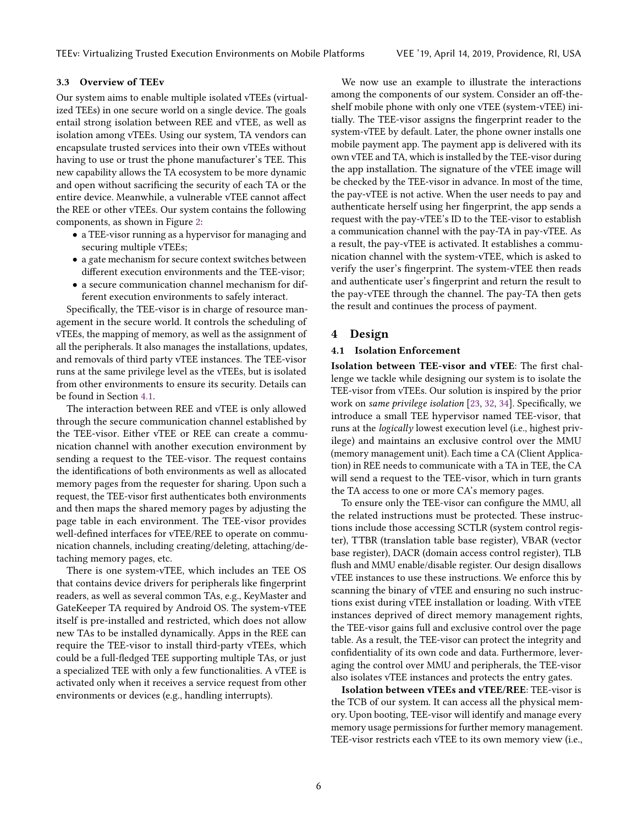## <span id="page-4-0"></span>3.3 Overview of TEEv

Our system aims to enable multiple isolated vTEEs (virtualized TEEs) in one secure world on a single device. The goals entail strong isolation between REE and vTEE, as well as isolation among vTEEs. Using our system, TA vendors can encapsulate trusted services into their own vTEEs without having to use or trust the phone manufacturer's TEE. This new capability allows the TA ecosystem to be more dynamic and open without sacrificing the security of each TA or the entire device. Meanwhile, a vulnerable vTEE cannot affect the REE or other vTEEs. Our system contains the following components, as shown in Figure [2:](#page-3-0)

- a TEE-visor running as a hypervisor for managing and securing multiple vTEEs;
- a gate mechanism for secure context switches between different execution environments and the TEE-visor;
- a secure communication channel mechanism for different execution environments to safely interact.

Specifically, the TEE-visor is in charge of resource management in the secure world. It controls the scheduling of vTEEs, the mapping of memory, as well as the assignment of all the peripherals. It also manages the installations, updates, and removals of third party vTEE instances. The TEE-visor runs at the same privilege level as the vTEEs, but is isolated from other environments to ensure its security. Details can be found in Section [4.1.](#page-4-1)

The interaction between REE and vTEE is only allowed through the secure communication channel established by the TEE-visor. Either vTEE or REE can create a communication channel with another execution environment by sending a request to the TEE-visor. The request contains the identifications of both environments as well as allocated memory pages from the requester for sharing. Upon such a request, the TEE-visor first authenticates both environments and then maps the shared memory pages by adjusting the page table in each environment. The TEE-visor provides well-defined interfaces for vTEE/REE to operate on communication channels, including creating/deleting, attaching/detaching memory pages, etc.

There is one system-vTEE, which includes an TEE OS that contains device drivers for peripherals like fingerprint readers, as well as several common TAs, e.g., KeyMaster and GateKeeper TA required by Android OS. The system-vTEE itself is pre-installed and restricted, which does not allow new TAs to be installed dynamically. Apps in the REE can require the TEE-visor to install third-party vTEEs, which could be a full-fledged TEE supporting multiple TAs, or just a specialized TEE with only a few functionalities. A vTEE is activated only when it receives a service request from other environments or devices (e.g., handling interrupts).

We now use an example to illustrate the interactions among the components of our system. Consider an off-theshelf mobile phone with only one vTEE (system-vTEE) initially. The TEE-visor assigns the fingerprint reader to the system-vTEE by default. Later, the phone owner installs one mobile payment app. The payment app is delivered with its own vTEE and TA, which is installed by the TEE-visor during the app installation. The signature of the vTEE image will be checked by the TEE-visor in advance. In most of the time, the pay-vTEE is not active. When the user needs to pay and authenticate herself using her fingerprint, the app sends a request with the pay-vTEE's ID to the TEE-visor to establish a communication channel with the pay-TA in pay-vTEE. As a result, the pay-vTEE is activated. It establishes a communication channel with the system-vTEE, which is asked to verify the user's fingerprint. The system-vTEE then reads and authenticate user's fingerprint and return the result to the pay-vTEE through the channel. The pay-TA then gets the result and continues the process of payment.

# 4 Design

## <span id="page-4-1"></span>4.1 Isolation Enforcement

Isolation between TEE-visor and vTEE: The first challenge we tackle while designing our system is to isolate the TEE-visor from vTEEs. Our solution is inspired by the prior work on same privilege isolation [\[23,](#page-13-17) [32,](#page-13-18) [34\]](#page-13-19). Specifically, we introduce a small TEE hypervisor named TEE-visor, that runs at the logically lowest execution level (i.e., highest privilege) and maintains an exclusive control over the MMU (memory management unit). Each time a CA (Client Application) in REE needs to communicate with a TA in TEE, the CA will send a request to the TEE-visor, which in turn grants the TA access to one or more CA's memory pages.

To ensure only the TEE-visor can configure the MMU, all the related instructions must be protected. These instructions include those accessing SCTLR (system control register), TTBR (translation table base register), VBAR (vector base register), DACR (domain access control register), TLB flush and MMU enable/disable register. Our design disallows vTEE instances to use these instructions. We enforce this by scanning the binary of vTEE and ensuring no such instructions exist during vTEE installation or loading. With vTEE instances deprived of direct memory management rights, the TEE-visor gains full and exclusive control over the page table. As a result, the TEE-visor can protect the integrity and confidentiality of its own code and data. Furthermore, leveraging the control over MMU and peripherals, the TEE-visor also isolates vTEE instances and protects the entry gates.

Isolation between vTEEs and vTEE/REE: TEE-visor is the TCB of our system. It can access all the physical memory. Upon booting, TEE-visor will identify and manage every memory usage permissions for further memory management. TEE-visor restricts each vTEE to its own memory view (i.e.,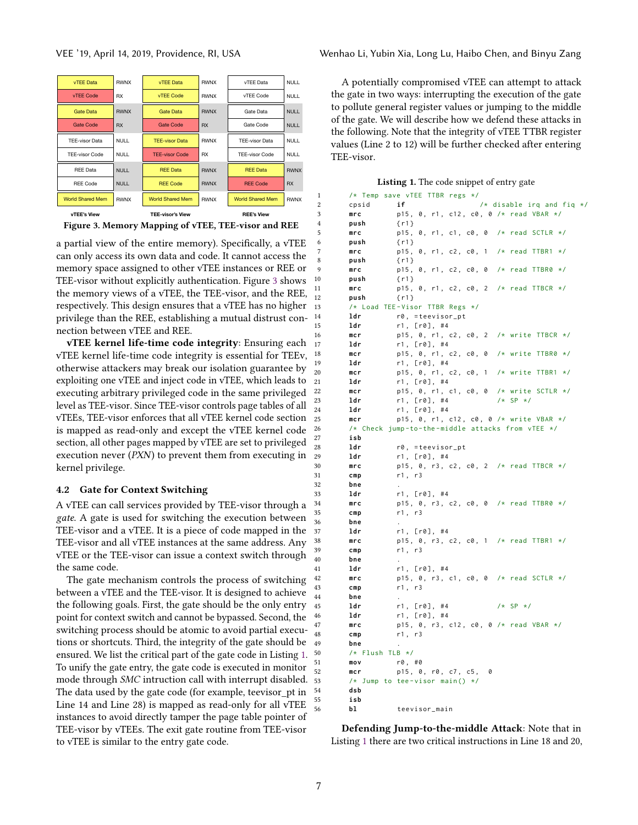<span id="page-5-0"></span>

Figure 3. Memory Mapping of vTEE, TEE-visor and REE

a partial view of the entire memory). Specifically, a vTEE can only access its own data and code. It cannot access the memory space assigned to other vTEE instances or REE or TEE-visor without explicitly authentication. Figure [3](#page-5-0) shows the memory views of a vTEE, the TEE-visor, and the REE, respectively. This design ensures that a vTEE has no higher privilege than the REE, establishing a mutual distrust connection between vTEE and REE.

vTEE kernel life-time code integrity: Ensuring each vTEE kernel life-time code integrity is essential for TEEv, otherwise attackers may break our isolation guarantee by exploiting one vTEE and inject code in vTEE, which leads to executing arbitrary privileged code in the same privileged level as TEE-visor. Since TEE-visor controls page tables of all vTEEs, TEE-visor enforces that all vTEE kernel code section is mapped as read-only and except the vTEE kernel code section, all other pages mapped by vTEE are set to privileged execution never (PXN) to prevent them from executing in kernel privilege.

## 4.2 Gate for Context Switching

A vTEE can call services provided by TEE-visor through a gate. A gate is used for switching the execution between TEE-visor and a vTEE. It is a piece of code mapped in the TEE-visor and all vTEE instances at the same address. Any vTEE or the TEE-visor can issue a context switch through the same code.

The gate mechanism controls the process of switching between a vTEE and the TEE-visor. It is designed to achieve the following goals. First, the gate should be the only entry point for context switch and cannot be bypassed. Second, the switching process should be atomic to avoid partial executions or shortcuts. Third, the integrity of the gate should be ensured. We list the critical part of the gate code in Listing [1.](#page-5-1) To unify the gate entry, the gate code is executed in monitor mode through SMC intruction call with interrupt disabled. The data used by the gate code (for example, teevisor\_pt in Line 14 and Line 28) is mapped as read-only for all vTEE instances to avoid directly tamper the page table pointer of TEE-visor by vTEEs. The exit gate routine from TEE-visor to vTEE is similar to the entry gate code.

A potentially compromised vTEE can attempt to attack the gate in two ways: interrupting the execution of the gate to pollute general register values or jumping to the middle of the gate. We will describe how we defend these attacks in the following. Note that the integrity of vTEE TTBR register values (Line 2 to 12) will be further checked after entering TEE-visor.

|  |  |  | Listing 1. The code snippet of entry gate |
|--|--|--|-------------------------------------------|
|--|--|--|-------------------------------------------|

```
1 /* Temp save vTEE TTBR regs */
2 cpsid if /* disable irq and fiq */
3 mrc p15, 0, r1, c12, c0, 0 /* read VBAR */
4 push { r1 }
5 mrc p15, 0, r1, c1, c0, 0 /* read SCTLR */
6 push { r1 }
      mrc p15, 0, r1, c2, c0, 1 /* read TTBR1 */
      push {r1}
      mrc p15, 0, r1, c2, c0, 0 /* read TTBR0 */10 push { r1 }
      mrc p15, 0, r1, c2, c0, 2 /* read TTBCR */
12 push \{r1\}13 /* Load TEE - Visor TTBR Regs */
14 ldr r0, = teevisor_pt
15 ldr r1, [r0], #4
      mcr p15, 0, r1, c2, c0, 2 /* write TTBCR */17 1dr r1, [r0], #4
      mcr p15, 0, r1, c2, c0, 0 /* write TTBR0 */
      1dr r1, [ r 0 ], #4
20 mcr p15, 0, r1, c2, c0, 1 /* write TTBR1 */
21 ldr r1, [r0], #4
22 mcr p15, 0, r1, c1, c0, 0 /* write SCTLR */<br>23 1dr r1, [r0], #4 /* SP */
      1dr r1, [ r 0 ], #4
24 1dr r1, [r0], #4
25 mcr p15, 0, r1, c12, c0, 0 /* write VBAR */
26 /* Check jump -to -the - middle attacks from vTEE */
27 isb
28 ldr r0, = teevisor_pt<br>29 ldr r1. [r0]. #4
      1dr r1, [ r0], #4
30 mrc p15, 0, r3, c2, c0, 2 /* read TTBCR */
31 cmp r1, r3
32 bne .
33 ldr r1, [r0], #4
34 mrc p15, 0, r3, c2, c0, 0 /* read TTBR0 */
35 cmp r1 , r3
36 bne .
37 1dr r1, [r0], #4
      mrc p15, 0, r3, c2, c0, 1 /* read TTBR1 */
      cmp r1, r3
40 bne .
41 ldr r1, [r0], #4
42 mrc p15, 0, r3, c1, c0, 0 /* read SCTLR */
43 cmp r1 , r3
      bne
45 ldr r1, [r0], #4 /* SP */
      1dr r1, [ r 0 ], #4
47 mrc p15, 0, r3, c12, c0, 0 /* read VBAR */
48 cmp r1, r3
49 bne .
50 /* Flush TLB */
      mov r0, #0
52 mcr p15, 0, r0, c7, c5, 0
53 /* Jump to tee - visor main () */
      dsb
55 isb
      bl teevisor_main
```
Defending Jump-to-the-middle Attack: Note that in Listing [1](#page-5-1) there are two critical instructions in Line 18 and 20,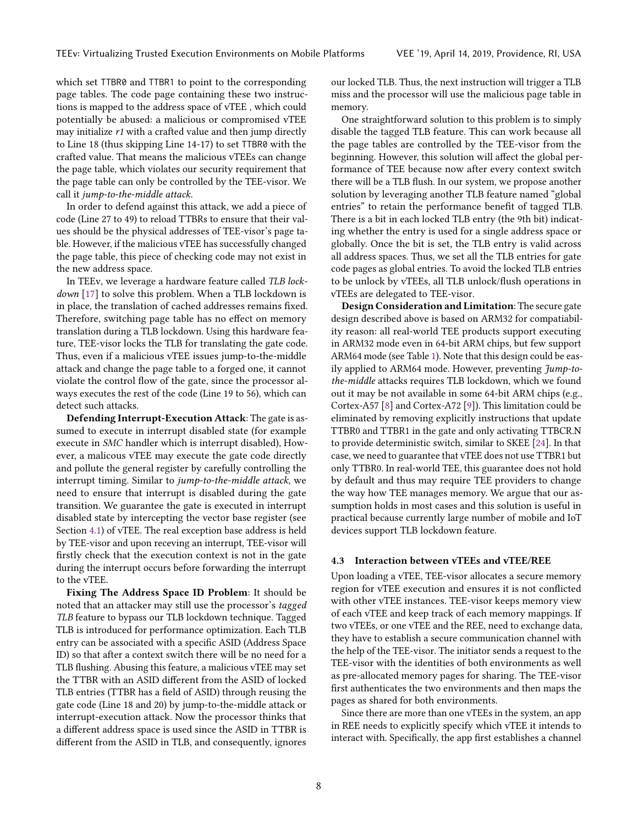which set TTBR0 and TTBR1 to point to the corresponding page tables. The code page containing these two instructions is mapped to the address space of vTEE , which could potentially be abused: a malicious or compromised vTEE may initialize r1 with a crafted value and then jump directly to Line 18 (thus skipping Line 14-17) to set TTBR0 with the crafted value. That means the malicious vTEEs can change the page table, which violates our security requirement that the page table can only be controlled by the TEE-visor. We call it jump-to-the-middle attack.

In order to defend against this attack, we add a piece of code (Line 27 to 49) to reload TTBRs to ensure that their values should be the physical addresses of TEE-visor's page table. However, if the malicious vTEE has successfully changed the page table, this piece of checking code may not exist in the new address space.

In TEEv, we leverage a hardware feature called TLB lock-down [\[17\]](#page-13-20) to solve this problem. When a TLB lockdown is in place, the translation of cached addresses remains fixed. Therefore, switching page table has no effect on memory translation during a TLB lockdown. Using this hardware feature, TEE-visor locks the TLB for translating the gate code. Thus, even if a malicious vTEE issues jump-to-the-middle attack and change the page table to a forged one, it cannot violate the control flow of the gate, since the processor always executes the rest of the code (Line 19 to 56), which can detect such attacks.

Defending Interrupt-Execution Attack: The gate is assumed to execute in interrupt disabled state (for example execute in SMC handler which is interrupt disabled), However, a malicous vTEE may execute the gate code directly and pollute the general register by carefully controlling the interrupt timing. Similar to jump-to-the-middle attack, we need to ensure that interrupt is disabled during the gate transition. We guarantee the gate is executed in interrupt disabled state by intercepting the vector base register (see Section [4.1\)](#page-4-1) of vTEE. The real exception base address is held by TEE-visor and upon receving an interrupt, TEE-visor will firstly check that the execution context is not in the gate during the interrupt occurs before forwarding the interrupt to the vTEE.

Fixing The Address Space ID Problem: It should be noted that an attacker may still use the processor's tagged TLB feature to bypass our TLB lockdown technique. Tagged TLB is introduced for performance optimization. Each TLB entry can be associated with a specific ASID (Address Space ID) so that after a context switch there will be no need for a TLB flushing. Abusing this feature, a malicious vTEE may set the TTBR with an ASID different from the ASID of locked TLB entries (TTBR has a field of ASID) through reusing the gate code (Line 18 and 20) by jump-to-the-middle attack or interrupt-execution attack. Now the processor thinks that a different address space is used since the ASID in TTBR is different from the ASID in TLB, and consequently, ignores

our locked TLB. Thus, the next instruction will trigger a TLB miss and the processor will use the malicious page table in memory.

One straightforward solution to this problem is to simply disable the tagged TLB feature. This can work because all the page tables are controlled by the TEE-visor from the beginning. However, this solution will affect the global performance of TEE because now after every context switch there will be a TLB flush. In our system, we propose another solution by leveraging another TLB feature named "global entries" to retain the performance benefit of tagged TLB. There is a bit in each locked TLB entry (the 9th bit) indicating whether the entry is used for a single address space or globally. Once the bit is set, the TLB entry is valid across all address spaces. Thus, we set all the TLB entries for gate code pages as global entries. To avoid the locked TLB entries to be unlock by vTEEs, all TLB unlock/flush operations in vTEEs are delegated to TEE-visor.

Design Consideration and Limitation: The secure gate design described above is based on ARM32 for compatiability reason: all real-world TEE products support executing in ARM32 mode even in 64-bit ARM chips, but few support ARM64 mode (see Table [1\)](#page-1-0). Note that this design could be easily applied to ARM64 mode. However, preventing Jump-tothe-middle attacks requires TLB lockdown, which we found out it may be not available in some 64-bit ARM chips (e.g., Cortex-A57 [\[8\]](#page-13-21) and Cortex-A72 [\[9\]](#page-13-22)). This limitation could be eliminated by removing explicitly instructions that update TTBR0 and TTBR1 in the gate and only activating TTBCR.N to provide deterministic switch, similar to SKEE [\[24\]](#page-13-23). In that case, we need to guarantee that vTEE does not use TTBR1 but only TTBR0. In real-world TEE, this guarantee does not hold by default and thus may require TEE providers to change the way how TEE manages memory. We argue that our assumption holds in most cases and this solution is useful in practical because currently large number of mobile and IoT devices support TLB lockdown feature.

#### 4.3 Interaction between vTEEs and vTEE/REE

Upon loading a vTEE, TEE-visor allocates a secure memory region for vTEE execution and ensures it is not conflicted with other vTEE instances. TEE-visor keeps memory view of each vTEE and keep track of each memory mappings. If two vTEEs, or one vTEE and the REE, need to exchange data, they have to establish a secure communication channel with the help of the TEE-visor. The initiator sends a request to the TEE-visor with the identities of both environments as well as pre-allocated memory pages for sharing. The TEE-visor first authenticates the two environments and then maps the pages as shared for both environments.

Since there are more than one vTEEs in the system, an app in REE needs to explicitly specify which vTEE it intends to interact with. Specifically, the app first establishes a channel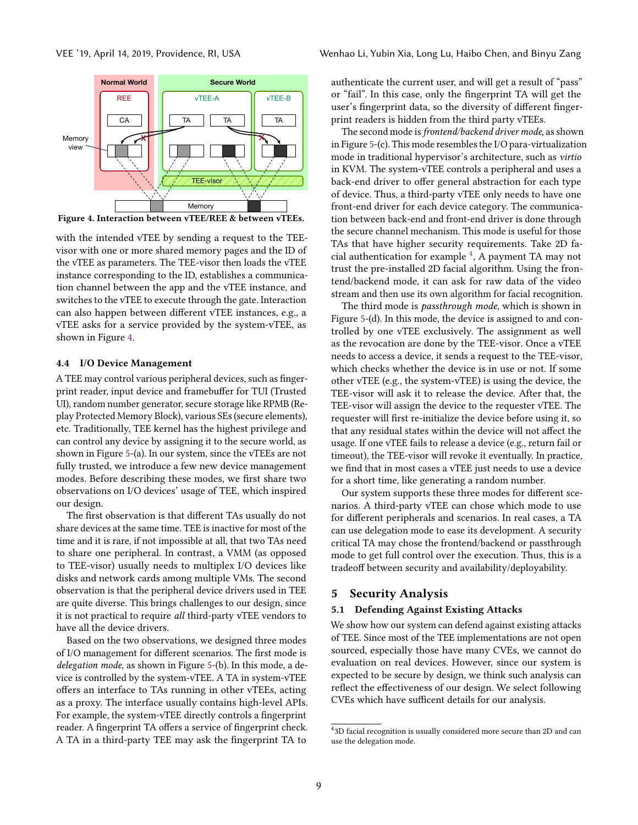<span id="page-7-1"></span>

Figure 4. Interaction between vTEE/REE & between vTEEs.

with the intended vTEE by sending a request to the TEEvisor with one or more shared memory pages and the ID of the vTEE as parameters. The TEE-visor then loads the vTEE instance corresponding to the ID, establishes a communication channel between the app and the vTEE instance, and switches to the vTEE to execute through the gate. Interaction can also happen between different vTEE instances, e.g., a vTEE asks for a service provided by the system-vTEE, as shown in Figure [4.](#page-7-1)

#### 4.4 I/O Device Management

A TEE may control various peripheral devices, such as fingerprint reader, input device and framebuffer for TUI (Trusted UI), random number generator, secure storage like RPMB (Replay Protected Memory Block), various SEs (secure elements), etc. Traditionally, TEE kernel has the highest privilege and can control any device by assigning it to the secure world, as shown in Figure [5-](#page-8-0)(a). In our system, since the vTEEs are not fully trusted, we introduce a few new device management modes. Before describing these modes, we first share two observations on I/O devices' usage of TEE, which inspired our design.

The first observation is that different TAs usually do not share devices at the same time. TEE is inactive for most of the time and it is rare, if not impossible at all, that two TAs need to share one peripheral. In contrast, a VMM (as opposed to TEE-visor) usually needs to multiplex I/O devices like disks and network cards among multiple VMs. The second observation is that the peripheral device drivers used in TEE are quite diverse. This brings challenges to our design, since it is not practical to require all third-party vTEE vendors to have all the device drivers.

Based on the two observations, we designed three modes of I/O management for different scenarios. The first mode is delegation mode, as shown in Figure [5-](#page-8-0)(b). In this mode, a device is controlled by the system-vTEE. A TA in system-vTEE offers an interface to TAs running in other vTEEs, acting as a proxy. The interface usually contains high-level APIs. For example, the system-vTEE directly controls a fingerprint reader. A fingerprint TA offers a service of fingerprint check. A TA in a third-party TEE may ask the fingerprint TA to

authenticate the current user, and will get a result of "pass" or "fail". In this case, only the fingerprint TA will get the user's fingerprint data, so the diversity of different fingerprint readers is hidden from the third party vTEEs.

The second mode is frontend/backend driver mode, as shown in Figure [5-](#page-8-0)(c). This mode resembles the I/O para-virtualization mode in traditional hypervisor's architecture, such as virtio in KVM. The system-vTEE controls a peripheral and uses a back-end driver to offer general abstraction for each type of device. Thus, a third-party vTEE only needs to have one front-end driver for each device category. The communication between back-end and front-end driver is done through the secure channel mechanism. This mode is useful for those TAs that have higher security requirements. Take 2D fa-cial authentication for example<sup>[4](#page-7-2)</sup>, A payment TA may not trust the pre-installed 2D facial algorithm. Using the frontend/backend mode, it can ask for raw data of the video stream and then use its own algorithm for facial recognition.

The third mode is *passthrough mode*, which is shown in Figure [5-](#page-8-0)(d). In this mode, the device is assigned to and controlled by one vTEE exclusively. The assignment as well as the revocation are done by the TEE-visor. Once a vTEE needs to access a device, it sends a request to the TEE-visor, which checks whether the device is in use or not. If some other vTEE (e.g., the system-vTEE) is using the device, the TEE-visor will ask it to release the device. After that, the TEE-visor will assign the device to the requester vTEE. The requester will first re-initialize the device before using it, so that any residual states within the device will not affect the usage. If one vTEE fails to release a device (e.g., return fail or timeout), the TEE-visor will revoke it eventually. In practice, we find that in most cases a vTEE just needs to use a device for a short time, like generating a random number.

Our system supports these three modes for different scenarios. A third-party vTEE can chose which mode to use for different peripherals and scenarios. In real cases, a TA can use delegation mode to ease its development. A security critical TA may chose the frontend/backend or passthrough mode to get full control over the execution. Thus, this is a tradeoff between security and availability/deployability.

## <span id="page-7-0"></span>5 Security Analysis

## 5.1 Defending Against Existing Attacks

We show how our system can defend against existing attacks of TEE. Since most of the TEE implementations are not open sourced, especially those have many CVEs, we cannot do evaluation on real devices. However, since our system is expected to be secure by design, we think such analysis can reflect the effectiveness of our design. We select following CVEs which have sufficent details for our analysis.

<span id="page-7-2"></span><sup>4</sup> 3D facial recognition is usually considered more secure than 2D and can use the delegation mode.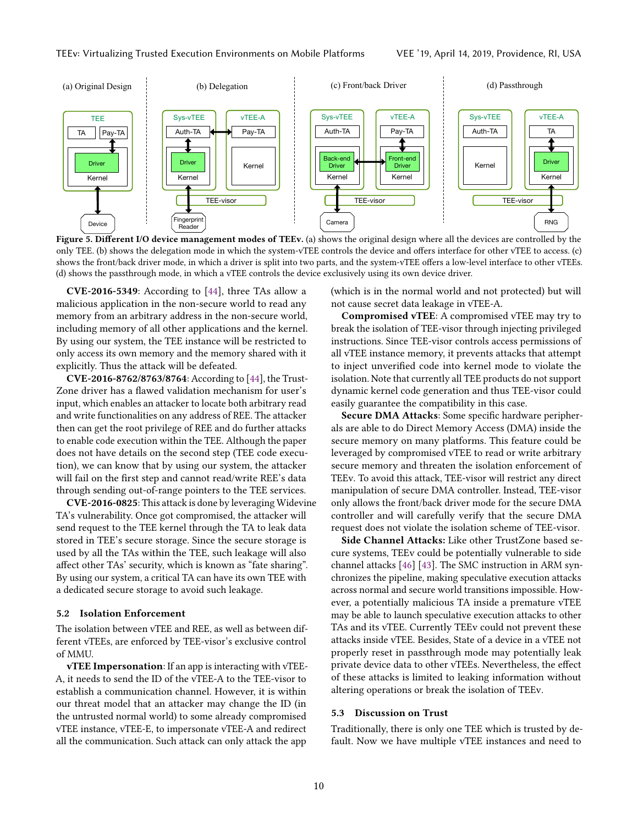<span id="page-8-0"></span>

Figure 5. Different I/O device management modes of TEEv. (a) shows the original design where all the devices are controlled by the only TEE. (b) shows the delegation mode in which the system-vTEE controls the device and offers interface for other vTEE to access. (c) shows the front/back driver mode, in which a driver is split into two parts, and the system-vTEE offers a low-level interface to other vTEEs. (d) shows the passthrough mode, in which a vTEE controls the device exclusively using its own device driver.

CVE-2016-5349: According to [\[44\]](#page-13-15), three TAs allow a malicious application in the non-secure world to read any memory from an arbitrary address in the non-secure world, including memory of all other applications and the kernel. By using our system, the TEE instance will be restricted to only access its own memory and the memory shared with it explicitly. Thus the attack will be defeated.

CVE-2016-8762/8763/8764: According to [\[44\]](#page-13-15), the Trust-Zone driver has a flawed validation mechanism for user's input, which enables an attacker to locate both arbitrary read and write functionalities on any address of REE. The attacker then can get the root privilege of REE and do further attacks to enable code execution within the TEE. Although the paper does not have details on the second step (TEE code execution), we can know that by using our system, the attacker will fail on the first step and cannot read/write REE's data through sending out-of-range pointers to the TEE services.

CVE-2016-0825: This attack is done by leveraging Widevine TA's vulnerability. Once got compromised, the attacker will send request to the TEE kernel through the TA to leak data stored in TEE's secure storage. Since the secure storage is used by all the TAs within the TEE, such leakage will also affect other TAs' security, which is known as "fate sharing". By using our system, a critical TA can have its own TEE with a dedicated secure storage to avoid such leakage.

#### 5.2 Isolation Enforcement

The isolation between vTEE and REE, as well as between different vTEEs, are enforced by TEE-visor's exclusive control of MMU.

vTEE Impersonation: If an app is interacting with vTEE-A, it needs to send the ID of the vTEE-A to the TEE-visor to establish a communication channel. However, it is within our threat model that an attacker may change the ID (in the untrusted normal world) to some already compromised vTEE instance, vTEE-E, to impersonate vTEE-A and redirect all the communication. Such attack can only attack the app

(which is in the normal world and not protected) but will not cause secret data leakage in vTEE-A.

Compromised vTEE: A compromised vTEE may try to break the isolation of TEE-visor through injecting privileged instructions. Since TEE-visor controls access permissions of all vTEE instance memory, it prevents attacks that attempt to inject unverified code into kernel mode to violate the isolation. Note that currently all TEE products do not support dynamic kernel code generation and thus TEE-visor could easily guarantee the compatibility in this case.

Secure DMA Attacks: Some specific hardware peripherals are able to do Direct Memory Access (DMA) inside the secure memory on many platforms. This feature could be leveraged by compromised vTEE to read or write arbitrary secure memory and threaten the isolation enforcement of TEEv. To avoid this attack, TEE-visor will restrict any direct manipulation of secure DMA controller. Instead, TEE-visor only allows the front/back driver mode for the secure DMA controller and will carefully verify that the secure DMA request does not violate the isolation scheme of TEE-visor.

Side Channel Attacks: Like other TrustZone based secure systems, TEEv could be potentially vulnerable to side channel attacks [\[46\]](#page-13-24) [\[43\]](#page-13-25). The SMC instruction in ARM synchronizes the pipeline, making speculative execution attacks across normal and secure world transitions impossible. However, a potentially malicious TA inside a premature vTEE may be able to launch speculative execution attacks to other TAs and its vTEE. Currently TEEv could not prevent these attacks inside vTEE. Besides, State of a device in a vTEE not properly reset in passthrough mode may potentially leak private device data to other vTEEs. Nevertheless, the effect of these attacks is limited to leaking information without altering operations or break the isolation of TEEv.

## 5.3 Discussion on Trust

Traditionally, there is only one TEE which is trusted by default. Now we have multiple vTEE instances and need to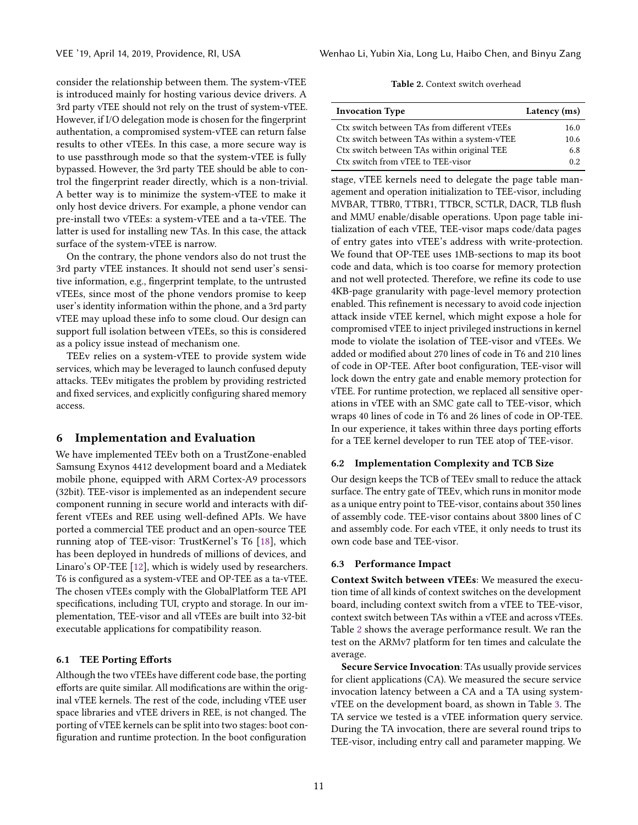consider the relationship between them. The system-vTEE is introduced mainly for hosting various device drivers. A 3rd party vTEE should not rely on the trust of system-vTEE. However, if I/O delegation mode is chosen for the fingerprint authentation, a compromised system-vTEE can return false results to other vTEEs. In this case, a more secure way is to use passthrough mode so that the system-vTEE is fully bypassed. However, the 3rd party TEE should be able to control the fingerprint reader directly, which is a non-trivial. A better way is to minimize the system-vTEE to make it only host device drivers. For example, a phone vendor can pre-install two vTEEs: a system-vTEE and a ta-vTEE. The latter is used for installing new TAs. In this case, the attack surface of the system-vTEE is narrow.

On the contrary, the phone vendors also do not trust the 3rd party vTEE instances. It should not send user's sensitive information, e.g., fingerprint template, to the untrusted vTEEs, since most of the phone vendors promise to keep user's identity information within the phone, and a 3rd party vTEE may upload these info to some cloud. Our design can support full isolation between vTEEs, so this is considered as a policy issue instead of mechanism one.

TEEv relies on a system-vTEE to provide system wide services, which may be leveraged to launch confused deputy attacks. TEEv mitigates the problem by providing restricted and fixed services, and explicitly configuring shared memory access.

# 6 Implementation and Evaluation

We have implemented TEEv both on a TrustZone-enabled Samsung Exynos 4412 development board and a Mediatek mobile phone, equipped with ARM Cortex-A9 processors (32bit). TEE-visor is implemented as an independent secure component running in secure world and interacts with different vTEEs and REE using well-defined APIs. We have ported a commercial TEE product and an open-source TEE running atop of TEE-visor: TrustKernel's T6 [\[18\]](#page-13-4), which has been deployed in hundreds of millions of devices, and Linaro's OP-TEE [\[12\]](#page-13-7), which is widely used by researchers. T6 is configured as a system-vTEE and OP-TEE as a ta-vTEE. The chosen vTEEs comply with the GlobalPlatform TEE API specifications, including TUI, crypto and storage. In our implementation, TEE-visor and all vTEEs are built into 32-bit executable applications for compatibility reason.

## 6.1 TEE Porting Efforts

Although the two vTEEs have different code base, the porting efforts are quite similar. All modifications are within the original vTEE kernels. The rest of the code, including vTEE user space libraries and vTEE drivers in REE, is not changed. The porting of vTEE kernels can be split into two stages: boot configuration and runtime protection. In the boot configuration

Table 2. Context switch overhead

<span id="page-9-0"></span>

| <b>Invocation Type</b>                      | Latency (ms) |
|---------------------------------------------|--------------|
| Ctx switch between TAs from different vTEEs | 16.0         |
| Ctx switch between TAs within a system-vTEE | 10.6         |
| Ctx switch between TAs within original TEE  | 6.8          |
| Ctx switch from vTEE to TEE-visor           | 0.2.         |

stage, vTEE kernels need to delegate the page table management and operation initialization to TEE-visor, including MVBAR, TTBR0, TTBR1, TTBCR, SCTLR, DACR, TLB flush and MMU enable/disable operations. Upon page table initialization of each vTEE, TEE-visor maps code/data pages of entry gates into vTEE's address with write-protection. We found that OP-TEE uses 1MB-sections to map its boot code and data, which is too coarse for memory protection and not well protected. Therefore, we refine its code to use 4KB-page granularity with page-level memory protection enabled. This refinement is necessary to avoid code injection attack inside vTEE kernel, which might expose a hole for compromised vTEE to inject privileged instructions in kernel mode to violate the isolation of TEE-visor and vTEEs. We added or modified about 270 lines of code in T6 and 210 lines of code in OP-TEE. After boot configuration, TEE-visor will lock down the entry gate and enable memory protection for vTEE. For runtime protection, we replaced all sensitive operations in vTEE with an SMC gate call to TEE-visor, which wraps 40 lines of code in T6 and 26 lines of code in OP-TEE. In our experience, it takes within three days porting efforts for a TEE kernel developer to run TEE atop of TEE-visor.

#### 6.2 Implementation Complexity and TCB Size

Our design keeps the TCB of TEEv small to reduce the attack surface. The entry gate of TEEv, which runs in monitor mode as a unique entry point to TEE-visor, contains about 350 lines of assembly code. TEE-visor contains about 3800 lines of C and assembly code. For each vTEE, it only needs to trust its own code base and TEE-visor.

#### 6.3 Performance Impact

Context Switch between vTEEs: We measured the execution time of all kinds of context switches on the development board, including context switch from a vTEE to TEE-visor, context switch between TAs within a vTEE and across vTEEs. Table [2](#page-9-0) shows the average performance result. We ran the test on the ARMv7 platform for ten times and calculate the average.

Secure Service Invocation: TAs usually provide services for client applications (CA). We measured the secure service invocation latency between a CA and a TA using systemvTEE on the development board, as shown in Table [3.](#page-10-0) The TA service we tested is a vTEE information query service. During the TA invocation, there are several round trips to TEE-visor, including entry call and parameter mapping. We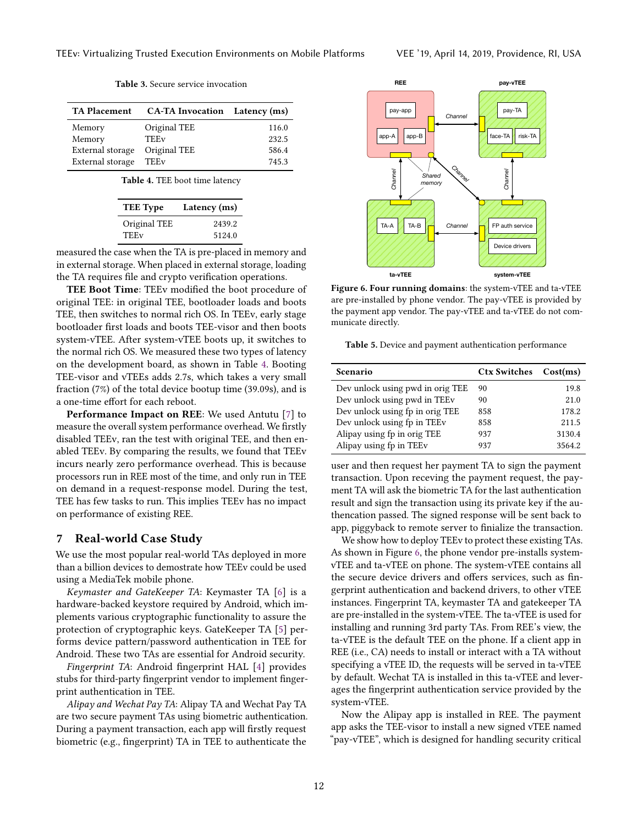Table 3. Secure service invocation

<span id="page-10-1"></span><span id="page-10-0"></span>

| <b>TA Placement</b> | <b>CA-TA Invocation</b> Latency (ms) |       |
|---------------------|--------------------------------------|-------|
| Memory              | Original TEE                         | 116.0 |
| Memory              | <b>TEEv</b>                          | 232.5 |
| External storage    | Original TEE                         | 586.4 |
| External storage    | TEEv                                 | 745.3 |

Table 4. TEE boot time latency

| <b>TEE</b> Type | Latency (ms) |
|-----------------|--------------|
| Original TEE    | 2439.2       |
| <b>TEEv</b>     | 5124.0       |

measured the case when the TA is pre-placed in memory and in external storage. When placed in external storage, loading the TA requires file and crypto verification operations.

TEE Boot Time: TEEv modified the boot procedure of original TEE: in original TEE, bootloader loads and boots TEE, then switches to normal rich OS. In TEEv, early stage bootloader first loads and boots TEE-visor and then boots system-vTEE. After system-vTEE boots up, it switches to the normal rich OS. We measured these two types of latency on the development board, as shown in Table [4.](#page-10-1) Booting TEE-visor and vTEEs adds 2.7s, which takes a very small fraction (7%) of the total device bootup time (39.09s), and is a one-time effort for each reboot.

Performance Impact on REE: We used Antutu [\[7\]](#page-13-26) to measure the overall system performance overhead. We firstly disabled TEEv, ran the test with original TEE, and then enabled TEEv. By comparing the results, we found that TEEv incurs nearly zero performance overhead. This is because processors run in REE most of the time, and only run in TEE on demand in a request-response model. During the test, TEE has few tasks to run. This implies TEEv has no impact on performance of existing REE.

## 7 Real-world Case Study

We use the most popular real-world TAs deployed in more than a billion devices to demostrate how TEEv could be used using a MediaTek mobile phone.

Keymaster and GateKeeper TA: Keymaster TA [\[6\]](#page-13-27) is a hardware-backed keystore required by Android, which implements various cryptographic functionality to assure the protection of cryptographic keys. GateKeeper TA [\[5\]](#page-13-28) performs device pattern/password authentication in TEE for Android. These two TAs are essential for Android security.

Fingerprint TA: Android fingerprint HAL [\[4\]](#page-13-29) provides stubs for third-party fingerprint vendor to implement fingerprint authentication in TEE.

Alipay and Wechat Pay TA: Alipay TA and Wechat Pay TA are two secure payment TAs using biometric authentication. During a payment transaction, each app will firstly request biometric (e.g., fingerprint) TA in TEE to authenticate the

<span id="page-10-2"></span>

Figure 6. Four running domains: the system-vTEE and ta-vTEE are pre-installed by phone vendor. The pay-vTEE is provided by the payment app vendor. The pay-vTEE and ta-vTEE do not communicate directly.

<span id="page-10-3"></span>Table 5. Device and payment authentication performance

| Scenario                         | Ctx Switches Cost(ms) |        |
|----------------------------------|-----------------------|--------|
| Dev unlock using pwd in orig TEE | 90                    | 19.8   |
| Dev unlock using pwd in TEEv     | 90                    | 21.0   |
| Dev unlock using fp in orig TEE  | 858                   | 178.2  |
| Dev unlock using fp in TEEv      | 858                   | 211.5  |
| Alipay using fp in orig TEE      | 937                   | 3130.4 |
| Alipay using fp in TEEv          | 937                   | 3564.2 |

user and then request her payment TA to sign the payment transaction. Upon receving the payment request, the payment TA will ask the biometric TA for the last authentication result and sign the transaction using its private key if the authencation passed. The signed response will be sent back to app, piggyback to remote server to finialize the transaction.

We show how to deploy TEEv to protect these existing TAs. As shown in Figure [6,](#page-10-2) the phone vendor pre-installs systemvTEE and ta-vTEE on phone. The system-vTEE contains all the secure device drivers and offers services, such as fingerprint authentication and backend drivers, to other vTEE instances. Fingerprint TA, keymaster TA and gatekeeper TA are pre-installed in the system-vTEE. The ta-vTEE is used for installing and running 3rd party TAs. From REE's view, the ta-vTEE is the default TEE on the phone. If a client app in REE (i.e., CA) needs to install or interact with a TA without specifying a vTEE ID, the requests will be served in ta-vTEE by default. Wechat TA is installed in this ta-vTEE and leverages the fingerprint authentication service provided by the system-vTEE.

Now the Alipay app is installed in REE. The payment app asks the TEE-visor to install a new signed vTEE named "pay-vTEE", which is designed for handling security critical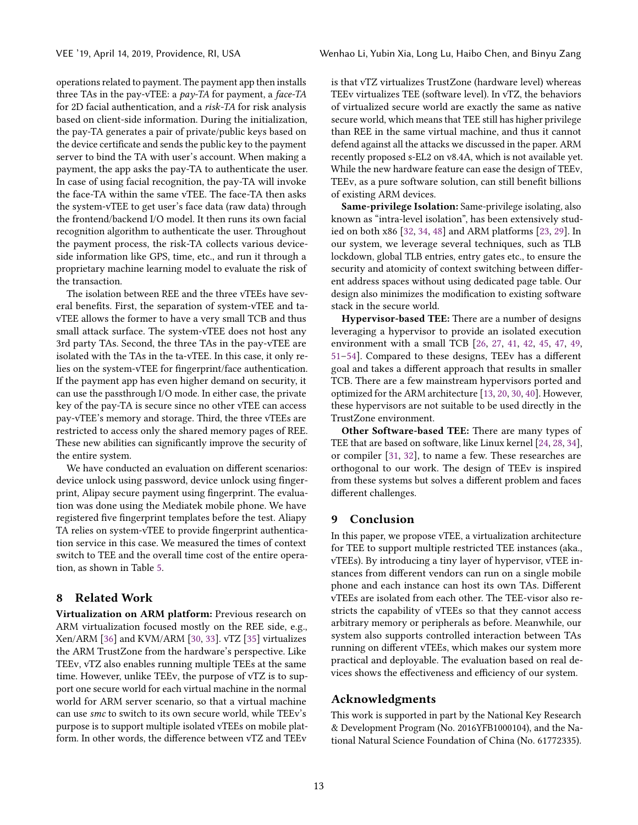operations related to payment. The payment app then installs three TAs in the pay-vTEE: a pay-TA for payment, a face-TA for 2D facial authentication, and a risk-TA for risk analysis based on client-side information. During the initialization, the pay-TA generates a pair of private/public keys based on the device certificate and sends the public key to the payment server to bind the TA with user's account. When making a payment, the app asks the pay-TA to authenticate the user. In case of using facial recognition, the pay-TA will invoke the face-TA within the same vTEE. The face-TA then asks the system-vTEE to get user's face data (raw data) through the frontend/backend I/O model. It then runs its own facial recognition algorithm to authenticate the user. Throughout the payment process, the risk-TA collects various deviceside information like GPS, time, etc., and run it through a proprietary machine learning model to evaluate the risk of the transaction.

The isolation between REE and the three vTEEs have several benefits. First, the separation of system-vTEE and tavTEE allows the former to have a very small TCB and thus small attack surface. The system-vTEE does not host any 3rd party TAs. Second, the three TAs in the pay-vTEE are isolated with the TAs in the ta-vTEE. In this case, it only relies on the system-vTEE for fingerprint/face authentication. If the payment app has even higher demand on security, it can use the passthrough I/O mode. In either case, the private key of the pay-TA is secure since no other vTEE can access pay-vTEE's memory and storage. Third, the three vTEEs are restricted to access only the shared memory pages of REE. These new abilities can significantly improve the security of the entire system.

We have conducted an evaluation on different scenarios: device unlock using password, device unlock using fingerprint, Alipay secure payment using fingerprint. The evaluation was done using the Mediatek mobile phone. We have registered five fingerprint templates before the test. Aliapy TA relies on system-vTEE to provide fingerprint authentication service in this case. We measured the times of context switch to TEE and the overall time cost of the entire operation, as shown in Table [5.](#page-10-3)

# 8 Related Work

Virtualization on ARM platform: Previous research on ARM virtualization focused mostly on the REE side, e.g., Xen/ARM [\[36\]](#page-13-30) and KVM/ARM [\[30,](#page-13-31) [33\]](#page-13-32). vTZ [\[35\]](#page-13-33) virtualizes the ARM TrustZone from the hardware's perspective. Like TEEv, vTZ also enables running multiple TEEs at the same time. However, unlike TEEv, the purpose of vTZ is to support one secure world for each virtual machine in the normal world for ARM server scenario, so that a virtual machine can use smc to switch to its own secure world, while TEEv's purpose is to support multiple isolated vTEEs on mobile platform. In other words, the difference between vTZ and TEEv

is that vTZ virtualizes TrustZone (hardware level) whereas TEEv virtualizes TEE (software level). In vTZ, the behaviors of virtualized secure world are exactly the same as native secure world, which means that TEE still has higher privilege than REE in the same virtual machine, and thus it cannot defend against all the attacks we discussed in the paper. ARM recently proposed s-EL2 on v8.4A, which is not available yet. While the new hardware feature can ease the design of TEEv, TEEv, as a pure software solution, can still benefit billions of existing ARM devices.

Same-privilege Isolation: Same-privilege isolating, also known as "intra-level isolation", has been extensively studied on both x86 [\[32,](#page-13-18) [34,](#page-13-19) [48\]](#page-14-2) and ARM platforms [\[23,](#page-13-17) [29\]](#page-13-34). In our system, we leverage several techniques, such as TLB lockdown, global TLB entries, entry gates etc., to ensure the security and atomicity of context switching between different address spaces without using dedicated page table. Our design also minimizes the modification to existing software stack in the secure world.

Hypervisor-based TEE: There are a number of designs leveraging a hypervisor to provide an isolated execution environment with a small TCB [\[26,](#page-13-35) [27,](#page-13-36) [41,](#page-13-37) [42,](#page-13-38) [45,](#page-13-39) [47,](#page-13-40) [49,](#page-14-3) [51](#page-14-4)[–54\]](#page-14-5). Compared to these designs, TEEv has a different goal and takes a different approach that results in smaller TCB. There are a few mainstream hypervisors ported and optimized for the ARM architecture [\[13,](#page-13-41) [20,](#page-13-42) [30,](#page-13-31) [40\]](#page-13-43). However, these hypervisors are not suitable to be used directly in the TrustZone environment.

Other Software-based TEE: There are many types of TEE that are based on software, like Linux kernel [\[24,](#page-13-23) [28,](#page-13-44) [34\]](#page-13-19), or compiler [\[31,](#page-13-45) [32\]](#page-13-18), to name a few. These researches are orthogonal to our work. The design of TEEv is inspired from these systems but solves a different problem and faces different challenges.

## 9 Conclusion

In this paper, we propose vTEE, a virtualization architecture for TEE to support multiple restricted TEE instances (aka., vTEEs). By introducing a tiny layer of hypervisor, vTEE instances from different vendors can run on a single mobile phone and each instance can host its own TAs. Different vTEEs are isolated from each other. The TEE-visor also restricts the capability of vTEEs so that they cannot access arbitrary memory or peripherals as before. Meanwhile, our system also supports controlled interaction between TAs running on different vTEEs, which makes our system more practical and deployable. The evaluation based on real devices shows the effectiveness and efficiency of our system.

# Acknowledgments

This work is supported in part by the National Key Research & Development Program (No. 2016YFB1000104), and the National Natural Science Foundation of China (No. 61772335).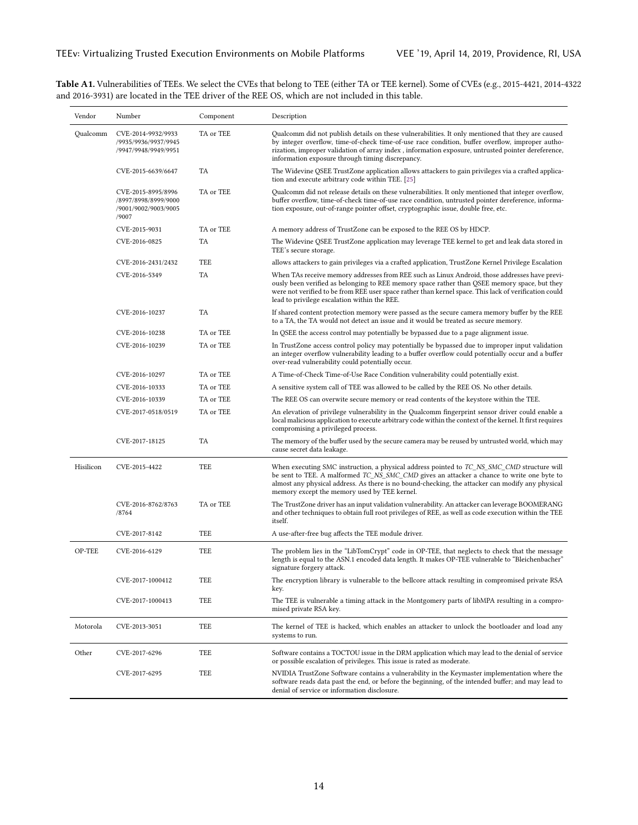<span id="page-12-0"></span>Table A1. Vulnerabilities of TEEs. We select the CVEs that belong to TEE (either TA or TEE kernel). Some of CVEs (e.g., 2015-4421, 2014-4322 and 2016-3931) are located in the TEE driver of the REE OS, which are not included in this table.

| Vendor    | Number                                                                      | Component | Description                                                                                                                                                                                                                                                                                                                                                    |
|-----------|-----------------------------------------------------------------------------|-----------|----------------------------------------------------------------------------------------------------------------------------------------------------------------------------------------------------------------------------------------------------------------------------------------------------------------------------------------------------------------|
| Qualcomm  | CVE-2014-9932/9933<br>/9935/9936/9937/9945<br>/9947/9948/9949/9951          | TA or TEE | Qualcomm did not publish details on these vulnerabilities. It only mentioned that they are caused<br>by integer overflow, time-of-check time-of-use race condition, buffer overflow, improper autho-<br>rization, improper validation of array index, information exposure, untrusted pointer dereference,<br>information exposure through timing discrepancy. |
|           | CVE-2015-6639/6647                                                          | TA        | The Widevine QSEE TrustZone application allows attackers to gain privileges via a crafted applica-<br>tion and execute arbitrary code within TEE. [25]                                                                                                                                                                                                         |
|           | CVE-2015-8995/8996<br>/8997/8998/8999/9000<br>/9001/9002/9003/9005<br>/9007 | TA or TEE | Qualcomm did not release details on these vulnerabilities. It only mentioned that integer overflow,<br>buffer overflow, time-of-check time-of-use race condition, untrusted pointer dereference, informa-<br>tion exposure, out-of-range pointer offset, cryptographic issue, double free, etc.                                                                |
|           | CVE-2015-9031                                                               | TA or TEE | A memory address of TrustZone can be exposed to the REE OS by HDCP.                                                                                                                                                                                                                                                                                            |
|           | CVE-2016-0825                                                               | TA        | The Widevine QSEE TrustZone application may leverage TEE kernel to get and leak data stored in<br>TEE's secure storage.                                                                                                                                                                                                                                        |
|           | CVE-2016-2431/2432                                                          | TEE       | allows attackers to gain privileges via a crafted application, TrustZone Kernel Privilege Escalation                                                                                                                                                                                                                                                           |
|           | CVE-2016-5349                                                               | TA        | When TAs receive memory addresses from REE such as Linux Android, those addresses have previ-<br>ously been verified as belonging to REE memory space rather than QSEE memory space, but they<br>were not verified to be from REE user space rather than kernel space. This lack of verification could<br>lead to privilege escalation within the REE.         |
|           | CVE-2016-10237                                                              | <b>TA</b> | If shared content protection memory were passed as the secure camera memory buffer by the REE<br>to a TA, the TA would not detect an issue and it would be treated as secure memory.                                                                                                                                                                           |
|           | CVE-2016-10238                                                              | TA or TEE | In QSEE the access control may potentially be bypassed due to a page alignment issue.                                                                                                                                                                                                                                                                          |
|           | CVE-2016-10239                                                              | TA or TEE | In TrustZone access control policy may potentially be bypassed due to improper input validation<br>an integer overflow vulnerability leading to a buffer overflow could potentially occur and a buffer<br>over-read vulnerability could potentially occur.                                                                                                     |
|           | CVE-2016-10297                                                              | TA or TEE | A Time-of-Check Time-of-Use Race Condition vulnerability could potentially exist.                                                                                                                                                                                                                                                                              |
|           | CVE-2016-10333                                                              | TA or TEE | A sensitive system call of TEE was allowed to be called by the REE OS. No other details.                                                                                                                                                                                                                                                                       |
|           | CVE-2016-10339                                                              | TA or TEE | The REE OS can overwite secure memory or read contents of the keystore within the TEE.                                                                                                                                                                                                                                                                         |
|           | CVE-2017-0518/0519                                                          | TA or TEE | An elevation of privilege vulnerability in the Qualcomm fingerprint sensor driver could enable a<br>local malicious application to execute arbitrary code within the context of the kernel. It first requires<br>compromising a privileged process.                                                                                                            |
|           | CVE-2017-18125                                                              | TA        | The memory of the buffer used by the secure camera may be reused by untrusted world, which may<br>cause secret data leakage.                                                                                                                                                                                                                                   |
| Hisilicon | CVE-2015-4422                                                               | TEE       | When executing SMC instruction, a physical address pointed to TC_NS_SMC_CMD structure will<br>be sent to TEE. A malformed TC_NS_SMC_CMD gives an attacker a chance to write one byte to<br>almost any physical address. As there is no bound-checking, the attacker can modify any physical<br>memory except the memory used by TEE kernel.                    |
|           | CVE-2016-8762/8763<br>/8764                                                 | TA or TEE | The TrustZone driver has an input validation vulnerability. An attacker can leverage BOOMERANG<br>and other techniques to obtain full root privileges of REE, as well as code execution within the TEE<br>itself.                                                                                                                                              |
|           | CVE-2017-8142                                                               | TEE       | A use-after-free bug affects the TEE module driver.                                                                                                                                                                                                                                                                                                            |
| OP-TEE    | CVE-2016-6129                                                               | TEE       | The problem lies in the "LibTomCrypt" code in OP-TEE, that neglects to check that the message<br>length is equal to the ASN.1 encoded data length. It makes OP-TEE vulnerable to "Bleichenbacher"<br>signature forgery attack.                                                                                                                                 |
|           | CVE-2017-1000412                                                            | TEE       | The encryption library is vulnerable to the bellcore attack resulting in compromised private RSA<br>key.                                                                                                                                                                                                                                                       |
|           | CVE-2017-1000413                                                            | TEE       | The TEE is vulnerable a timing attack in the Montgomery parts of libMPA resulting in a compro-<br>mised private RSA key.                                                                                                                                                                                                                                       |
| Motorola  | CVE-2013-3051                                                               | TEE       | The kernel of TEE is hacked, which enables an attacker to unlock the bootloader and load any<br>systems to run.                                                                                                                                                                                                                                                |
| Other     | CVE-2017-6296                                                               | TEE       | Software contains a TOCTOU issue in the DRM application which may lead to the denial of service<br>or possible escalation of privileges. This issue is rated as moderate.                                                                                                                                                                                      |
|           | CVE-2017-6295                                                               | TEE       | NVIDIA TrustZone Software contains a vulnerability in the Keymaster implementation where the<br>software reads data past the end, or before the beginning, of the intended buffer; and may lead to<br>denial of service or information disclosure.                                                                                                             |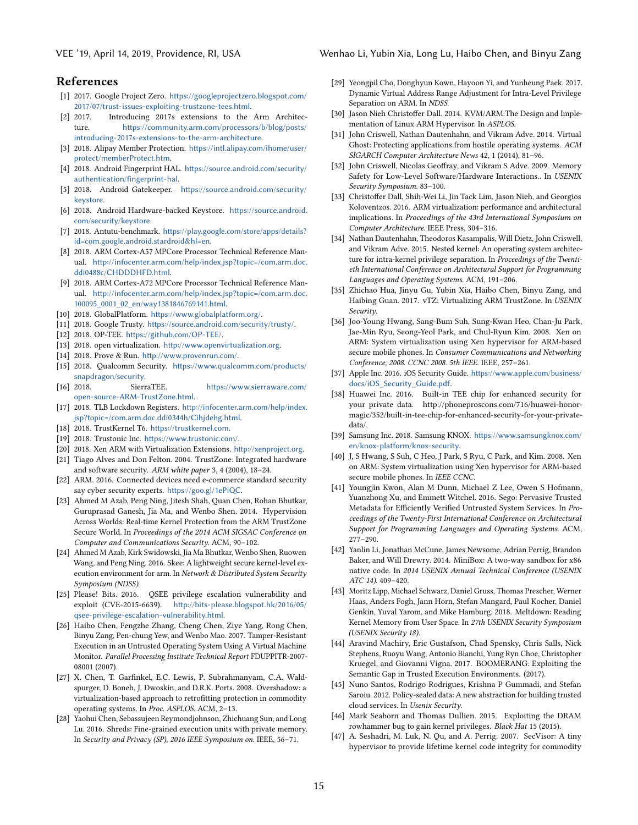## References

- <span id="page-13-14"></span>[1] 2017. Google Project Zero. [https://googleprojectzero.blogspot.com/](https://googleprojectzero.blogspot.com/2017/07/trust-issues-exploiting-trustzone-tees.html) [2017/07/trust-issues-exploiting-trustzone-tees.html](https://googleprojectzero.blogspot.com/2017/07/trust-issues-exploiting-trustzone-tees.html).
- <span id="page-13-13"></span>[2] 2017. Introducing 2017s extensions to the Arm Architecture. [https://community.arm.com/processors/b/blog/posts/](https://community.arm.com/processors/b/blog/posts/introducing-2017s-extensions-to-the-arm-architecture) [introducing-2017s-extensions-to-the-arm-architecture](https://community.arm.com/processors/b/blog/posts/introducing-2017s-extensions-to-the-arm-architecture).
- <span id="page-13-16"></span>[3] 2018. Alipay Member Protection. [https://intl.alipay.com/ihome/user/](https://intl.alipay.com/ihome/user/protect/memberProtect.htm) [protect/memberProtect.htm](https://intl.alipay.com/ihome/user/protect/memberProtect.htm).
- <span id="page-13-29"></span>[4] 2018. Android Fingerprint HAL. [https://source.android.com/security/](https://source.android.com/security/authentication/fingerprint-hal) [authentication/fingerprint-hal](https://source.android.com/security/authentication/fingerprint-hal).
- <span id="page-13-28"></span>[5] 2018. Android Gatekeeper. [https://source.android.com/security/](https://source.android.com/security/keystore) [keystore](https://source.android.com/security/keystore).
- <span id="page-13-27"></span>[6] 2018. Android Hardware-backed Keystore. [https://source.android.](https://source.android.com/security/keystore) [com/security/keystore](https://source.android.com/security/keystore).
- <span id="page-13-26"></span>[7] 2018. Antutu-benchmark. [https://play.google.com/store/apps/details?](https://play.google.com/store/apps/details?id=com.google.android.stardroid&hl=en) [id=com.google.android.stardroid&hl=en](https://play.google.com/store/apps/details?id=com.google.android.stardroid&hl=en).
- <span id="page-13-21"></span>[8] 2018. ARM Cortex-A57 MPCore Processor Technical Reference Manual. [http://infocenter.arm.com/help/index.jsp?topic=/com.arm.doc.](http://infocenter.arm.com/help/index.jsp?topic=/com.arm.doc.ddi0488c/CHDDDHFD.html) [ddi0488c/CHDDDHFD.html](http://infocenter.arm.com/help/index.jsp?topic=/com.arm.doc.ddi0488c/CHDDDHFD.html).
- <span id="page-13-22"></span>[9] 2018. ARM Cortex-A72 MPCore Processor Technical Reference Manual. [http://infocenter.arm.com/help/index.jsp?topic=/com.arm.doc.](http://infocenter.arm.com/help/index.jsp?topic=/com.arm.doc.100095_0001_02_en/way1381846769141.html) [100095\\_0001\\_02\\_en/way1381846769141.html](http://infocenter.arm.com/help/index.jsp?topic=/com.arm.doc.100095_0001_02_en/way1381846769141.html).
- <span id="page-13-10"></span>[10] 2018. GlobalPlatform. <https://www.globalplatform.org/>.
- <span id="page-13-6"></span>[11] 2018. Google Trusty. <https://source.android.com/security/trusty/>.
- <span id="page-13-7"></span>[12] 2018. OP-TEE. <https://github.com/OP-TEE/>.
- <span id="page-13-41"></span>[13] 2018. open virtualization. <http://www.openvirtualization.org>.
- <span id="page-13-9"></span>[14] 2018. Prove & Run. <http://www.provenrun.com/>.
- <span id="page-13-1"></span>[15] 2018. Qualcomm Security. [https://www.qualcomm.com/products/](https://www.qualcomm.com/products/snapdragon/security) [snapdragon/security](https://www.qualcomm.com/products/snapdragon/security).<br>[16] 2018. Sierr
- <span id="page-13-8"></span>SierraTEE. [https://www.sierraware.com/](https://www.sierraware.com/open-source-ARM-TrustZone.html) [open-source-ARM-TrustZone.html](https://www.sierraware.com/open-source-ARM-TrustZone.html).
- <span id="page-13-20"></span>[17] 2018. TLB Lockdown Registers. [http://infocenter.arm.com/help/index.](http://infocenter.arm.com/help/index.jsp?topic=/com.arm.doc.ddi0344h/Cihjdehg.html) [jsp?topic=/com.arm.doc.ddi0344h/Cihjdehg.html](http://infocenter.arm.com/help/index.jsp?topic=/com.arm.doc.ddi0344h/Cihjdehg.html).
- <span id="page-13-4"></span>[18] 2018. TrustKernel T6. <https://trustkernel.com>.
- <span id="page-13-5"></span>[19] 2018. Trustonic Inc. <https://www.trustonic.com/>.
- <span id="page-13-42"></span>[20] 2018. Xen ARM with Virtualization Extensions. <http://xenproject.org>.
- <span id="page-13-12"></span>[21] Tiago Alves and Don Felton. 2004. TrustZone: Integrated hardware and software security. ARM white paper 3, 4 (2004), 18–24.
- <span id="page-13-11"></span>[22] ARM. 2016. Connected devices need e-commerce standard security say cyber security experts. <https://goo.gl/1ePiQC>.
- <span id="page-13-17"></span>[23] Ahmed M Azab, Peng Ning, Jitesh Shah, Quan Chen, Rohan Bhutkar, Guruprasad Ganesh, Jia Ma, and Wenbo Shen. 2014. Hypervision Across Worlds: Real-time Kernel Protection from the ARM TrustZone Secure World. In Proceedings of the 2014 ACM SIGSAC Conference on Computer and Communications Security. ACM, 90–102.
- <span id="page-13-23"></span>[24] Ahmed M Azab, Kirk Swidowski, Jia Ma Bhutkar, Wenbo Shen, Ruowen Wang, and Peng Ning. 2016. Skee: A lightweight secure kernel-level execution environment for arm. In Network & Distributed System Security Symposium (NDSS).
- <span id="page-13-46"></span>[25] Please! Bits. 2016. QSEE privilege escalation vulnerability and exploit (CVE-2015-6639). [http://bits-please.blogspot.hk/2016/05/](http://bits-please.blogspot.hk/2016/05/qsee-privilege-escalation-vulnerability.html) [qsee-privilege-escalation-vulnerability.html](http://bits-please.blogspot.hk/2016/05/qsee-privilege-escalation-vulnerability.html).
- <span id="page-13-35"></span>[26] Haibo Chen, Fengzhe Zhang, Cheng Chen, Ziye Yang, Rong Chen, Binyu Zang, Pen-chung Yew, and Wenbo Mao. 2007. Tamper-Resistant Execution in an Untrusted Operating System Using A Virtual Machine Monitor. Parallel Processing Institute Technical Report FDUPPITR-2007- 08001 (2007).
- <span id="page-13-36"></span>[27] X. Chen, T. Garfinkel, E.C. Lewis, P. Subrahmanyam, C.A. Waldspurger, D. Boneh, J. Dwoskin, and D.R.K. Ports. 2008. Overshadow: a virtualization-based approach to retrofitting protection in commodity operating systems. In Proc. ASPLOS. ACM, 2–13.
- <span id="page-13-44"></span>[28] Yaohui Chen, Sebassujeen Reymondjohnson, Zhichuang Sun, and Long Lu. 2016. Shreds: Fine-grained execution units with private memory. In Security and Privacy (SP), 2016 IEEE Symposium on. IEEE, 56–71.
- <span id="page-13-34"></span>[29] Yeongpil Cho, Donghyun Kown, Hayoon Yi, and Yunheung Paek. 2017. Dynamic Virtual Address Range Adjustment for Intra-Level Privilege Separation on ARM. In NDSS.
- <span id="page-13-31"></span>[30] Jason Nieh Christoffer Dall. 2014. KVM/ARM:The Design and Implementation of Linux ARM Hypervisor. In ASPLOS.
- <span id="page-13-45"></span>[31] John Criswell, Nathan Dautenhahn, and Vikram Adve. 2014. Virtual Ghost: Protecting applications from hostile operating systems. ACM SIGARCH Computer Architecture News 42, 1 (2014), 81–96.
- <span id="page-13-18"></span>[32] John Criswell, Nicolas Geoffray, and Vikram S Adve. 2009. Memory Safety for Low-Level Software/Hardware Interactions.. In USENIX Security Symposium. 83–100.
- <span id="page-13-32"></span>[33] Christoffer Dall, Shih-Wei Li, Jin Tack Lim, Jason Nieh, and Georgios Koloventzos. 2016. ARM virtualization: performance and architectural implications. In Proceedings of the 43rd International Symposium on Computer Architecture. IEEE Press, 304–316.
- <span id="page-13-19"></span>[34] Nathan Dautenhahn, Theodoros Kasampalis, Will Dietz, John Criswell, and Vikram Adve. 2015. Nested kernel: An operating system architecture for intra-kernel privilege separation. In Proceedings of the Twentieth International Conference on Architectural Support for Programming Languages and Operating Systems. ACM, 191–206.
- <span id="page-13-33"></span>[35] Zhichao Hua, Jinyu Gu, Yubin Xia, Haibo Chen, Binyu Zang, and Haibing Guan. 2017. vTZ: Virtualizing ARM TrustZone. In USENIX Security.
- <span id="page-13-30"></span>[36] Joo-Young Hwang, Sang-Bum Suh, Sung-Kwan Heo, Chan-Ju Park, Jae-Min Ryu, Seong-Yeol Park, and Chul-Ryun Kim. 2008. Xen on ARM: System virtualization using Xen hypervisor for ARM-based secure mobile phones. In Consumer Communications and Networking Conference, 2008. CCNC 2008. 5th IEEE. IEEE, 257–261.
- <span id="page-13-3"></span>[37] Apple Inc. 2016. iOS Security Guide. [https://www.apple.com/business/](https://www.apple.com/business/docs/iOS_Security_Guide.pdf) [docs/iOS\\_Security\\_Guide.pdf](https://www.apple.com/business/docs/iOS_Security_Guide.pdf).
- <span id="page-13-2"></span>[38] Huawei Inc. 2016. Built-in TEE chip for enhanced security for your private data. http://phoneproscons.com/716/huawei-honormagic/352/built-in-tee-chip-for-enhanced-security-for-your-privatedata/.
- <span id="page-13-0"></span>[39] Samsung Inc. 2018. Samsung KNOX. [https://www.samsungknox.com/](https://www.samsungknox.com/en/knox-platform/knox-security) [en/knox-platform/knox-security](https://www.samsungknox.com/en/knox-platform/knox-security).
- <span id="page-13-43"></span>[40] J, S Hwang, S Suh, C Heo, J Park, S Ryu, C Park, and Kim. 2008. Xen on ARM: System virtualization using Xen hypervisor for ARM-based secure mobile phones. In IEEE CCNC.
- <span id="page-13-37"></span>[41] Youngjin Kwon, Alan M Dunn, Michael Z Lee, Owen S Hofmann, Yuanzhong Xu, and Emmett Witchel. 2016. Sego: Pervasive Trusted Metadata for Efficiently Verified Untrusted System Services. In Proceedings of the Twenty-First International Conference on Architectural Support for Programming Languages and Operating Systems. ACM, 277–290.
- <span id="page-13-38"></span>[42] Yanlin Li, Jonathan McCune, James Newsome, Adrian Perrig, Brandon Baker, and Will Drewry. 2014. MiniBox: A two-way sandbox for x86 native code. In 2014 USENIX Annual Technical Conference (USENIX ATC 14). 409–420.
- <span id="page-13-25"></span>[43] Moritz Lipp, Michael Schwarz, Daniel Gruss, Thomas Prescher, Werner Haas, Anders Fogh, Jann Horn, Stefan Mangard, Paul Kocher, Daniel Genkin, Yuval Yarom, and Mike Hamburg. 2018. Meltdown: Reading Kernel Memory from User Space. In 27th USENIX Security Symposium (USENIX Security 18).
- <span id="page-13-15"></span>[44] Aravind Machiry, Eric Gustafson, Chad Spensky, Chris Salls, Nick Stephens, Ruoyu Wang, Antonio Bianchi, Yung Ryn Choe, Christopher Kruegel, and Giovanni Vigna. 2017. BOOMERANG: Exploiting the Semantic Gap in Trusted Execution Environments. (2017).
- <span id="page-13-39"></span>[45] Nuno Santos, Rodrigo Rodrigues, Krishna P Gummadi, and Stefan Saroiu. 2012. Policy-sealed data: A new abstraction for building trusted cloud services. In Usenix Security.
- <span id="page-13-24"></span>[46] Mark Seaborn and Thomas Dullien. 2015. Exploiting the DRAM rowhammer bug to gain kernel privileges. Black Hat 15 (2015).
- <span id="page-13-40"></span>[47] A. Seshadri, M. Luk, N. Qu, and A. Perrig. 2007. SecVisor: A tiny hypervisor to provide lifetime kernel code integrity for commodity